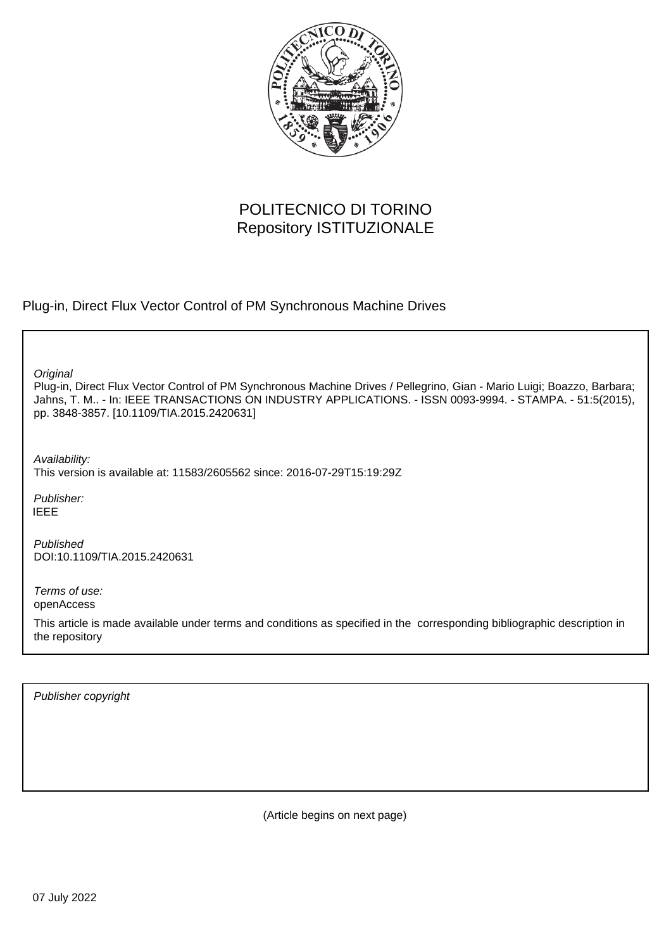

# POLITECNICO DI TORINO Repository ISTITUZIONALE

Plug-in, Direct Flux Vector Control of PM Synchronous Machine Drives

**Original** 

Plug-in, Direct Flux Vector Control of PM Synchronous Machine Drives / Pellegrino, Gian - Mario Luigi; Boazzo, Barbara; Jahns, T. M.. - In: IEEE TRANSACTIONS ON INDUSTRY APPLICATIONS. - ISSN 0093-9994. - STAMPA. - 51:5(2015), pp. 3848-3857. [10.1109/TIA.2015.2420631]

Availability: This version is available at: 11583/2605562 since: 2016-07-29T15:19:29Z

Publisher: IEEE

Published DOI:10.1109/TIA.2015.2420631

Terms of use: openAccess

This article is made available under terms and conditions as specified in the corresponding bibliographic description in the repository

Publisher copyright

(Article begins on next page)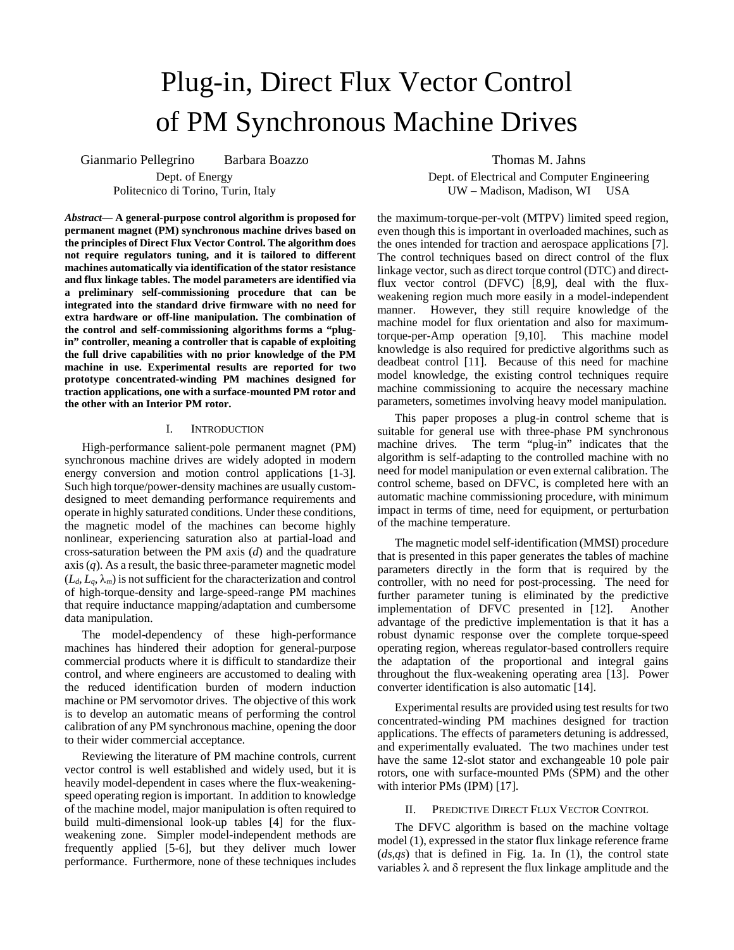# Plug-in, Direct Flux Vector Control of PM Synchronous Machine Drives

Gianmario Pellegrino Barbara Boazzo

Dept. of Energy Politecnico di Torino, Turin, Italy

*Abstract***— A general-purpose control algorithm is proposed for permanent magnet (PM) synchronous machine drives based on the principles of Direct Flux Vector Control. The algorithm does not require regulators tuning, and it is tailored to different machines automatically via identification of the stator resistance and flux linkage tables. The model parameters are identified via a preliminary self-commissioning procedure that can be integrated into the standard drive firmware with no need for extra hardware or off-line manipulation. The combination of the control and self-commissioning algorithms forms a "plugin" controller, meaning a controller that is capable of exploiting the full drive capabilities with no prior knowledge of the PM machine in use. Experimental results are reported for two prototype concentrated-winding PM machines designed for traction applications, one with a surface-mounted PM rotor and the other with an Interior PM rotor.**

# I. INTRODUCTION

High-performance salient-pole permanent magnet (PM) synchronous machine drives are widely adopted in modern energy conversion and motion control applications [1-3]. Such high torque/power-density machines are usually customdesigned to meet demanding performance requirements and operate in highly saturated conditions. Under these conditions, the magnetic model of the machines can become highly nonlinear, experiencing saturation also at partial-load and cross-saturation between the PM axis (*d*) and the quadrature axis (*q*). As a result, the basic three-parameter magnetic model  $(L_d, L_q, \lambda_m)$  is not sufficient for the characterization and control of high-torque-density and large-speed-range PM machines that require inductance mapping/adaptation and cumbersome data manipulation.

The model-dependency of these high-performance machines has hindered their adoption for general-purpose commercial products where it is difficult to standardize their control, and where engineers are accustomed to dealing with the reduced identification burden of modern induction machine or PM servomotor drives. The objective of this work is to develop an automatic means of performing the control calibration of any PM synchronous machine, opening the door to their wider commercial acceptance.

Reviewing the literature of PM machine controls, current vector control is well established and widely used, but it is heavily model-dependent in cases where the flux-weakeningspeed operating region is important. In addition to knowledge of the machine model, major manipulation is often required to build multi-dimensional look-up tables [4] for the fluxweakening zone. Simpler model-independent methods are frequently applied [5-6], but they deliver much lower performance. Furthermore, none of these techniques includes Thomas M. Jahns

Dept. of Electrical and Computer Engineering UW – Madison, Madison, WI USA

the maximum-torque-per-volt (MTPV) limited speed region, even though this is important in overloaded machines, such as the ones intended for traction and aerospace applications [7]. The control techniques based on direct control of the flux linkage vector, such as direct torque control (DTC) and directflux vector control (DFVC) [8,9], deal with the fluxweakening region much more easily in a model-independent manner. However, they still require knowledge of the machine model for flux orientation and also for maximumtorque-per-Amp operation [9,10]. This machine model knowledge is also required for predictive algorithms such as deadbeat control [11]. Because of this need for machine model knowledge, the existing control techniques require machine commissioning to acquire the necessary machine parameters, sometimes involving heavy model manipulation.

This paper proposes a plug-in control scheme that is suitable for general use with three-phase PM synchronous machine drives. The term "plug-in" indicates that the algorithm is self-adapting to the controlled machine with no need for model manipulation or even external calibration. The control scheme, based on DFVC, is completed here with an automatic machine commissioning procedure, with minimum impact in terms of time, need for equipment, or perturbation of the machine temperature.

The magnetic model self-identification (MMSI) procedure that is presented in this paper generates the tables of machine parameters directly in the form that is required by the controller, with no need for post-processing. The need for further parameter tuning is eliminated by the predictive implementation of DFVC presented in [12]. Another advantage of the predictive implementation is that it has a robust dynamic response over the complete torque-speed operating region, whereas regulator-based controllers require the adaptation of the proportional and integral gains throughout the flux-weakening operating area [13]. Power converter identification is also automatic [14].

Experimental results are provided using test results for two concentrated-winding PM machines designed for traction applications. The effects of parameters detuning is addressed, and experimentally evaluated. The two machines under test have the same 12-slot stator and exchangeable 10 pole pair rotors, one with surface-mounted PMs (SPM) and the other with interior PMs (IPM) [17].

# II. PREDICTIVE DIRECT FLUX VECTOR CONTROL

The DFVC algorithm is based on the machine voltage model (1), expressed in the stator flux linkage reference frame (*ds,qs*) that is defined in Fig. 1a. In (1), the control state variables  $\lambda$  and  $\delta$  represent the flux linkage amplitude and the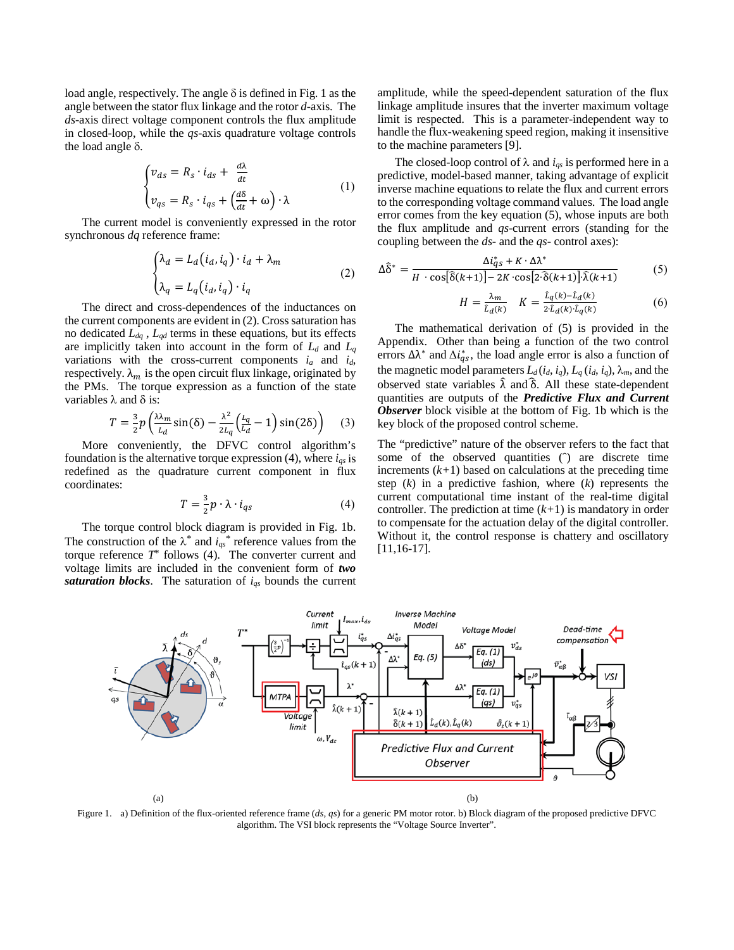load angle, respectively. The angle  $\delta$  is defined in Fig. 1 as the angle between the stator flux linkage and the rotor *d*-axis. The *ds*-axis direct voltage component controls the flux amplitude in closed-loop, while the *qs*-axis quadrature voltage controls the load angle  $\delta$ .

$$
\begin{cases}\nv_{ds} = R_s \cdot i_{ds} + \frac{d\lambda}{dt} \\
v_{qs} = R_s \cdot i_{qs} + \left(\frac{d\delta}{dt} + \omega\right) \cdot \lambda\n\end{cases} \tag{1}
$$

The current model is conveniently expressed in the rotor synchronous *dq* reference frame:

$$
\begin{cases} \lambda_d = L_d(i_d, i_q) \cdot i_d + \lambda_m \\ \lambda_q = L_q(i_d, i_q) \cdot i_q \end{cases}
$$
 (2)

The direct and cross-dependences of the inductances on the current components are evident in (2). Cross saturation has no dedicated  $L_{dq}$ ,  $L_{qd}$  terms in these equations, but its effects are implicitly taken into account in the form of  $L_d$  and  $L_q$ variations with the cross-current components *ia* and *id*, respectively.  $\lambda_m$  is the open circuit flux linkage, originated by the PMs. The torque expression as a function of the state variables λ and δ is:

$$
T = \frac{3}{2}p\left(\frac{\lambda\lambda_m}{L_d}\sin(\delta) - \frac{\lambda^2}{2L_q}\left(\frac{L_q}{L_d} - 1\right)\sin(2\delta)\right) \quad (3)
$$

More conveniently, the DFVC control algorithm's foundation is the alternative torque expression  $(4)$ , where  $i_{as}$  is redefined as the quadrature current component in flux coordinates:

$$
T = \frac{3}{2}p \cdot \lambda \cdot i_{qs} \tag{4}
$$

The torque control block diagram is provided in Fig. 1b. The construction of the  $\lambda^*$  and  $i_{qs}$ <sup>\*</sup> reference values from the torque reference *T*\* follows (4). The converter current and voltage limits are included in the convenient form of *two saturation blocks*. The saturation of *iqs* bounds the current

amplitude, while the speed-dependent saturation of the flux linkage amplitude insures that the inverter maximum voltage limit is respected. This is a parameter-independent way to handle the flux-weakening speed region, making it insensitive to the machine parameters [9].

The closed-loop control of  $\lambda$  and  $i_{qs}$  is performed here in a predictive, model-based manner, taking advantage of explicit inverse machine equations to relate the flux and current errors to the corresponding voltage command values. The load angle error comes from the key equation (5), whose inputs are both the flux amplitude and *qs*-current errors (standing for the coupling between the *ds-* and the *qs*- control axes):

$$
\Delta \hat{\delta}^* = \frac{\Delta i_{qs}^* + K \cdot \Delta \lambda^*}{H \cdot \cos[\hat{\delta}(k+1)] - 2K \cdot \cos[2 \cdot \hat{\delta}(k+1)] \cdot \hat{\lambda}(k+1)}
$$
(5)

$$
H = \frac{\lambda_m}{\hat{L}_d(k)} \quad K = \frac{\hat{L}_q(k) - \hat{L}_d(k)}{2 \cdot \hat{L}_d(k) \cdot \hat{L}_q(k)} \tag{6}
$$

The mathematical derivation of (5) is provided in the Appendix. Other than being a function of the two control errors  $\Delta \lambda^*$  and  $\Delta i^*_{qs}$ , the load angle error is also a function of the magnetic model parameters  $L_d(i_d, i_q)$ ,  $L_q(i_d, i_q)$ ,  $\lambda_m$ , and the observed state variables  $\hat{\lambda}$  and  $\hat{\delta}$ . All these state-dependent quantities are outputs of the *Predictive Flux and Current Observer* block visible at the bottom of Fig. 1b which is the key block of the proposed control scheme.

The "predictive" nature of the observer refers to the fact that some of the observed quantities ( $\hat{ }$ ) are discrete time increments  $(k+1)$  based on calculations at the preceding time step (*k*) in a predictive fashion, where (*k*) represents the current computational time instant of the real-time digital controller. The prediction at time (*k+*1) is mandatory in order to compensate for the actuation delay of the digital controller. Without it, the control response is chattery and oscillatory [11,16-17].



Figure 1. a) Definition of the flux-oriented reference frame (*ds, qs*) for a generic PM motor rotor. b) Block diagram of the proposed predictive DFVC algorithm. The VSI block represents the "Voltage Source Inverter".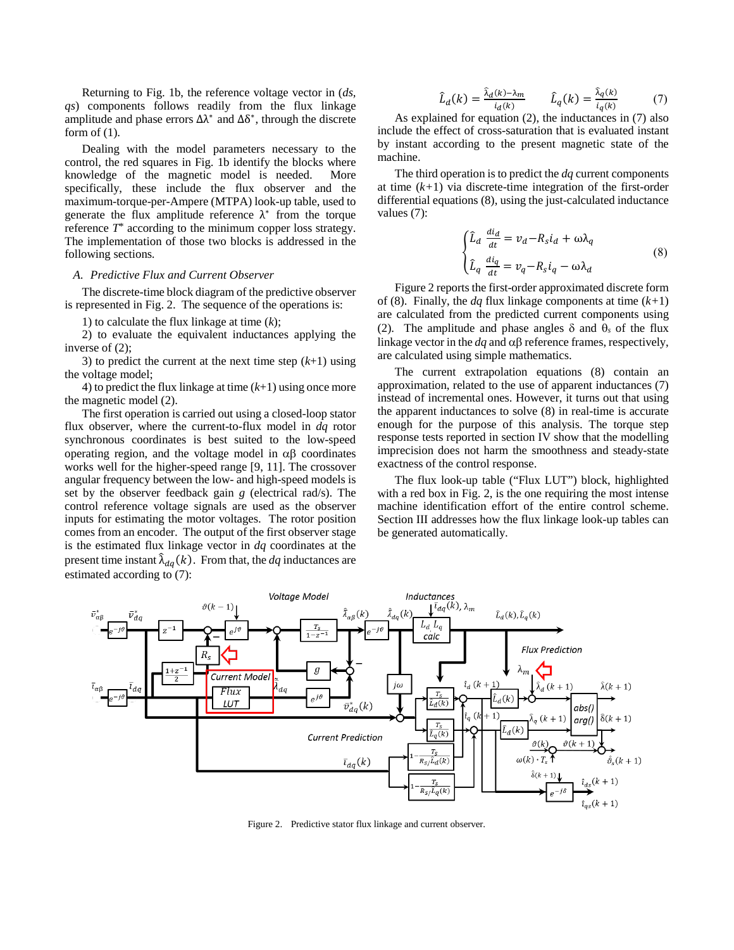Returning to Fig. 1b, the reference voltage vector in (*ds, qs*) components follows readily from the flux linkage amplitude and phase errors  $\Delta \lambda^*$  and  $\Delta \delta^*$ , through the discrete form of  $(1)$ .

Dealing with the model parameters necessary to the control, the red squares in Fig. 1b identify the blocks where knowledge of the magnetic model is needed. More specifically, these include the flux observer and the maximum-torque-per-Ampere (MTPA) look-up table, used to generate the flux amplitude reference  $\lambda^*$  from the torque reference *T*\* according to the minimum copper loss strategy. The implementation of those two blocks is addressed in the following sections.

# *A. Predictive Flux and Current Observer*

The discrete-time block diagram of the predictive observer is represented in Fig. 2. The sequence of the operations is:

1) to calculate the flux linkage at time (*k*);

2) to evaluate the equivalent inductances applying the inverse of (2);

3) to predict the current at the next time step  $(k+1)$  using the voltage model;

4) to predict the flux linkage at time (*k*+1) using once more the magnetic model (2).

The first operation is carried out using a closed-loop stator flux observer, where the current-to-flux model in *dq* rotor synchronous coordinates is best suited to the low-speed operating region, and the voltage model in αβ coordinates works well for the higher-speed range [9, 11]. The crossover angular frequency between the low- and high-speed models is set by the observer feedback gain *g* (electrical rad/s). The control reference voltage signals are used as the observer inputs for estimating the motor voltages. The rotor position comes from an encoder. The output of the first observer stage is the estimated flux linkage vector in *dq* coordinates at the present time instant  $\hat{\lambda}_{dq}(k)$ . From that, the *dq* inductances are estimated according to (7):

$$
\hat{L}_d(k) = \frac{\hat{\lambda}_d(k) - \lambda_m}{i_d(k)} \qquad \hat{L}_q(k) = \frac{\hat{\lambda}_q(k)}{i_q(k)} \tag{7}
$$

As explained for equation (2), the inductances in (7) also include the effect of cross-saturation that is evaluated instant by instant according to the present magnetic state of the machine.

The third operation is to predict the *dq* current components at time (*k+*1) via discrete-time integration of the first-order differential equations (8), using the just-calculated inductance values (7):

$$
\begin{cases}\n\hat{L}_d \frac{di_d}{dt} = v_d - R_s i_d + \omega \lambda_q \\
\hat{L}_q \frac{di_q}{dt} = v_q - R_s i_q - \omega \lambda_d\n\end{cases}
$$
\n(8)

Figure 2 reports the first-order approximated discrete form of (8). Finally, the *dq* flux linkage components at time (*k+*1) are calculated from the predicted current components using (2). The amplitude and phase angles δ and θ*<sup>s</sup>* of the flux linkage vector in the *dq* and αβ reference frames, respectively, are calculated using simple mathematics.

The current extrapolation equations (8) contain an approximation, related to the use of apparent inductances (7) instead of incremental ones. However, it turns out that using the apparent inductances to solve (8) in real-time is accurate enough for the purpose of this analysis. The torque step response tests reported in section IV show that the modelling imprecision does not harm the smoothness and steady-state exactness of the control response.

The flux look-up table ("Flux LUT") block, highlighted with a red box in Fig. 2, is the one requiring the most intense machine identification effort of the entire control scheme. Section III addresses how the flux linkage look-up tables can be generated automatically.



Figure 2. Predictive stator flux linkage and current observer.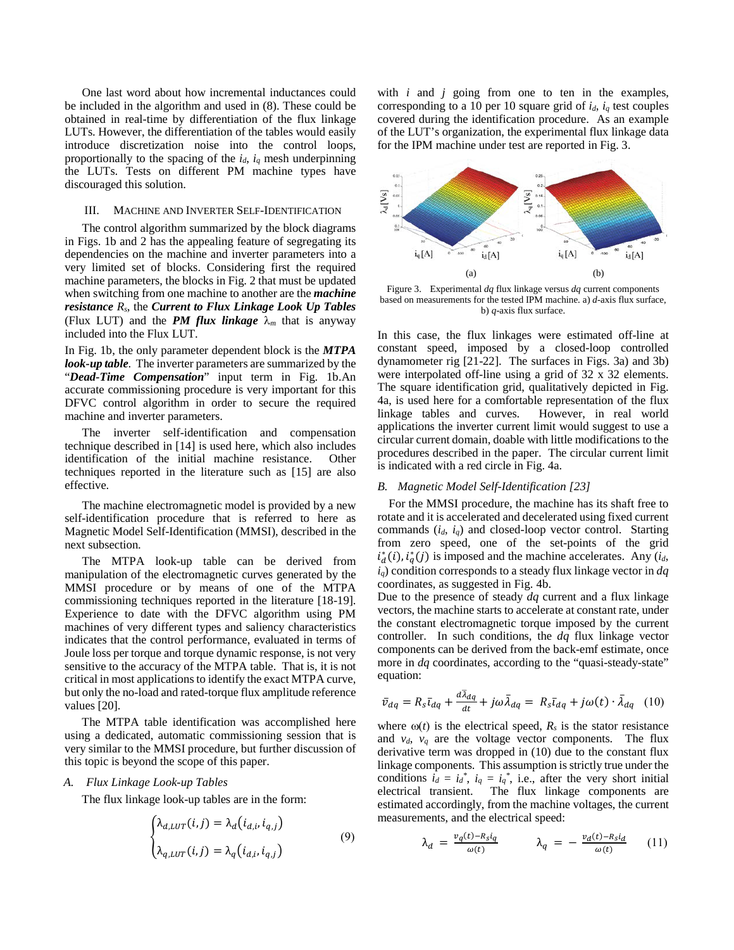One last word about how incremental inductances could be included in the algorithm and used in (8). These could be obtained in real-time by differentiation of the flux linkage LUTs. However, the differentiation of the tables would easily introduce discretization noise into the control loops, proportionally to the spacing of the *id*, *iq* mesh underpinning the LUTs. Tests on different PM machine types have discouraged this solution.

# III. MACHINE AND INVERTER SELF-IDENTIFICATION

The control algorithm summarized by the block diagrams in Figs. 1b and 2 has the appealing feature of segregating its dependencies on the machine and inverter parameters into a very limited set of blocks. Considering first the required machine parameters, the blocks in Fig. 2 that must be updated when switching from one machine to another are the *machine resistance Rs*, the *Current to Flux Linkage Look Up Tables* (Flux LUT) and the **PM flux linkage**  $\lambda_m$  that is anyway included into the Flux LUT.

In Fig. 1b, the only parameter dependent block is the *MTPA look-up table*. The inverter parameters are summarized by the "*Dead-Time Compensation*" input term in Fig. 1b.An accurate commissioning procedure is very important for this DFVC control algorithm in order to secure the required machine and inverter parameters.

The inverter self-identification and compensation technique described in [14] is used here, which also includes identification of the initial machine resistance. Other techniques reported in the literature such as [15] are also effective.

The machine electromagnetic model is provided by a new self-identification procedure that is referred to here as Magnetic Model Self-Identification (MMSI), described in the next subsection.

The MTPA look-up table can be derived from manipulation of the electromagnetic curves generated by the MMSI procedure or by means of one of the MTPA commissioning techniques reported in the literature [18-19]. Experience to date with the DFVC algorithm using PM machines of very different types and saliency characteristics indicates that the control performance, evaluated in terms of Joule loss per torque and torque dynamic response, is not very sensitive to the accuracy of the MTPA table. That is, it is not critical in most applications to identify the exact MTPA curve, but only the no-load and rated-torque flux amplitude reference values [20].

The MTPA table identification was accomplished here using a dedicated, automatic commissioning session that is very similar to the MMSI procedure, but further discussion of this topic is beyond the scope of this paper.

#### *A. Flux Linkage Look-up Tables*

The flux linkage look-up tables are in the form:

$$
\begin{cases} \lambda_{d, LUT}(i, j) = \lambda_d(i_{d,i}, i_{q,j}) \\ \lambda_{q, LUT}(i, j) = \lambda_q(i_{d,i}, i_{q,j}) \end{cases}
$$
\n(9)

with *i* and *j* going from one to ten in the examples, corresponding to a 10 per 10 square grid of  $i_d$ ,  $i_q$  test couples covered during the identification procedure. As an example of the LUT's organization, the experimental flux linkage data for the IPM machine under test are reported in Fig. 3.



Figure 3. Experimental *dq* flux linkage versus *dq* current components based on measurements for the tested IPM machine. a) *d*-axis flux surface, b) *q*-axis flux surface.

In this case, the flux linkages were estimated off-line at constant speed, imposed by a closed-loop controlled dynamometer rig [21-22]. The surfaces in Figs. 3a) and 3b) were interpolated off-line using a grid of 32 x 32 elements. The square identification grid, qualitatively depicted in Fig. 4a, is used here for a comfortable representation of the flux linkage tables and curves. However, in real world applications the inverter current limit would suggest to use a circular current domain, doable with little modifications to the procedures described in the paper. The circular current limit is indicated with a red circle in Fig. 4a.

#### *B. Magnetic Model Self-Identification [23]*

For the MMSI procedure, the machine has its shaft free to rotate and it is accelerated and decelerated using fixed current commands (*id*, *iq*) and closed-loop vector control. Starting from zero speed, one of the set-points of the grid  $i_d^*(i)$ ,  $i_q^*(j)$  is imposed and the machine accelerates. Any  $(i_d, j_d)$ *iq*) condition corresponds to a steady flux linkage vector in *dq* coordinates, as suggested in Fig. 4b.

Due to the presence of steady *dq* current and a flux linkage vectors, the machine starts to accelerate at constant rate, under the constant electromagnetic torque imposed by the current controller. In such conditions, the *dq* flux linkage vector components can be derived from the back-emf estimate, once more in *dq* coordinates, according to the "quasi-steady-state" equation:

$$
\bar{v}_{dq} = R_s \bar{t}_{dq} + \frac{d\bar{\lambda}_{dq}}{dt} + j\omega \bar{\lambda}_{dq} = R_s \bar{t}_{dq} + j\omega(t) \cdot \bar{\lambda}_{dq} \quad (10)
$$

where  $\omega(t)$  is the electrical speed,  $R_s$  is the stator resistance and  $v_d$ ,  $v_q$  are the voltage vector components. The flux derivative term was dropped in (10) due to the constant flux linkage components. This assumption is strictly true under the conditions  $i_d = i_d^*$ ,  $i_q = i_q^*$ , i.e., after the very short initial electrical transient. The flux linkage components are estimated accordingly, from the machine voltages, the current measurements, and the electrical speed:

$$
\lambda_d = \frac{v_q(t) - R_s i_q}{\omega(t)} \qquad \lambda_q = -\frac{v_d(t) - R_s i_d}{\omega(t)} \qquad (11)
$$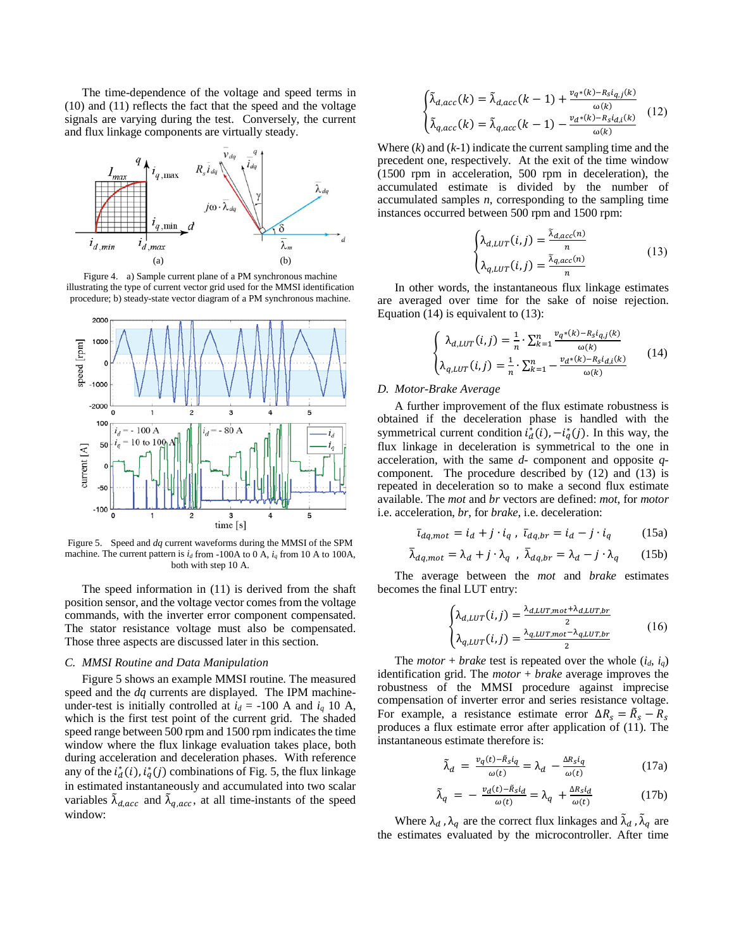The time-dependence of the voltage and speed terms in (10) and (11) reflects the fact that the speed and the voltage signals are varying during the test. Conversely, the current and flux linkage components are virtually steady.



Figure 4. a) Sample current plane of a PM synchronous machine illustrating the type of current vector grid used for the MMSI identification procedure; b) steady-state vector diagram of a PM synchronous machine.



Figure 5. Speed and *dq* current waveforms during the MMSI of the SPM machine. The current pattern is  $i_d$  from -100A to 0 A,  $i_q$  from 10 A to 100A, both with step 10 A.

The speed information in (11) is derived from the shaft position sensor, and the voltage vector comes from the voltage commands, with the inverter error component compensated. The stator resistance voltage must also be compensated. Those three aspects are discussed later in this section.

#### *C. MMSI Routine and Data Manipulation*

Figure 5 shows an example MMSI routine. The measured speed and the *dq* currents are displayed. The IPM machineunder-test is initially controlled at  $i_d = -100$  A and  $i_q$  10 A, which is the first test point of the current grid. The shaded speed range between 500 rpm and 1500 rpm indicates the time window where the flux linkage evaluation takes place, both during acceleration and deceleration phases. With reference any of the  $i_d^*(i)$ ,  $i_q^*(j)$  combinations of Fig. 5, the flux linkage in estimated instantaneously and accumulated into two scalar variables  $\tilde{\lambda}_{d,acc}$  and  $\tilde{\lambda}_{q,acc}$ , at all time-instants of the speed window:

$$
\begin{cases} \tilde{\lambda}_{d,acc}(k) = \tilde{\lambda}_{d,acc}(k-1) + \frac{v_q * (k) - R_S i_{q,j}(k)}{\omega(k)} \\ \tilde{\lambda}_{q,acc}(k) = \tilde{\lambda}_{q,acc}(k-1) - \frac{v_d * (k) - R_S i_{d,i}(k)}{\omega(k)} \end{cases} (12)
$$

Where (*k*) and (*k*-1) indicate the current sampling time and the precedent one, respectively. At the exit of the time window (1500 rpm in acceleration, 500 rpm in deceleration), the accumulated estimate is divided by the number of accumulated samples *n*, corresponding to the sampling time instances occurred between 500 rpm and 1500 rpm:

$$
\begin{cases}\n\lambda_{d, LUT}(i, j) = \frac{\tilde{\lambda}_{d, acc}(n)}{n} \\
\lambda_{q, LUT}(i, j) = \frac{\tilde{\lambda}_{q, acc}(n)}{n}\n\end{cases}
$$
\n(13)

In other words, the instantaneous flux linkage estimates are averaged over time for the sake of noise rejection. Equation (14) is equivalent to (13):

$$
\begin{cases}\n\lambda_{d, LUT}(i, j) = \frac{1}{n} \cdot \sum_{k=1}^{n} \frac{v_q * (k) - R_s i_{q,j}(k)}{\omega(k)} \\
\lambda_{q, LUT}(i, j) = \frac{1}{n} \cdot \sum_{k=1}^{n} -\frac{v_d * (k) - R_s i_{d,i}(k)}{\omega(k)}\n\end{cases} (14)
$$

# *D. Motor-Brake Average*

A further improvement of the flux estimate robustness is obtained if the deceleration phase is handled with the symmetrical current condition  $i_d^*(i)$ ,  $-i_q^*(j)$ . In this way, the flux linkage in deceleration is symmetrical to the one in acceleration, with the same *d-* component and opposite *q*component. The procedure described by (12) and (13) is repeated in deceleration so to make a second flux estimate available. The *mot* and *br* vectors are defined: *mot*, for *motor* i.e. acceleration, *br*, for *brake*, i.e. deceleration:

$$
\bar{t}_{dq,mot} = i_d + j \cdot i_q, \ \bar{t}_{dq,br} = i_d - j \cdot i_q \tag{15a}
$$

$$
\bar{\lambda}_{dq,mot} = \lambda_d + j \cdot \lambda_q , \ \bar{\lambda}_{dq,br} = \lambda_d - j \cdot \lambda_q \qquad (15b)
$$

The average between the *mot* and *brake* estimates becomes the final LUT entry:

$$
\begin{cases}\n\lambda_{d, LUT}(i, j) = \frac{\lambda_{d, LUT, mot} + \lambda_{d, LUT, br}}{2} \\
\lambda_{q, LUT}(i, j) = \frac{\lambda_{q, LUT, mot} - \lambda_{q, LUT, br}}{2}\n\end{cases}
$$
\n(16)

The *motor* + *brake* test is repeated over the whole  $(i_d, i_q)$ identification grid. The *motor* + *brake* average improves the robustness of the MMSI procedure against imprecise compensation of inverter error and series resistance voltage. For example, a resistance estimate error  $\Delta R_s = \tilde{R}_s - R_s$ produces a flux estimate error after application of (11). The instantaneous estimate therefore is:

$$
\tilde{\lambda}_d = \frac{v_q(t) - \tilde{R}_s i_q}{\omega(t)} = \lambda_d - \frac{\Delta R_s i_q}{\omega(t)}
$$
(17a)

$$
\tilde{\lambda}_q = -\frac{v_d(t) - \tilde{R}_s i_d}{\omega(t)} = \lambda_q + \frac{\Delta R_s i_d}{\omega(t)} \tag{17b}
$$

Where  $\lambda_d$ ,  $\lambda_q$  are the correct flux linkages and  $\tilde{\lambda}_d$ ,  $\tilde{\lambda}_q$  are the estimates evaluated by the microcontroller. After time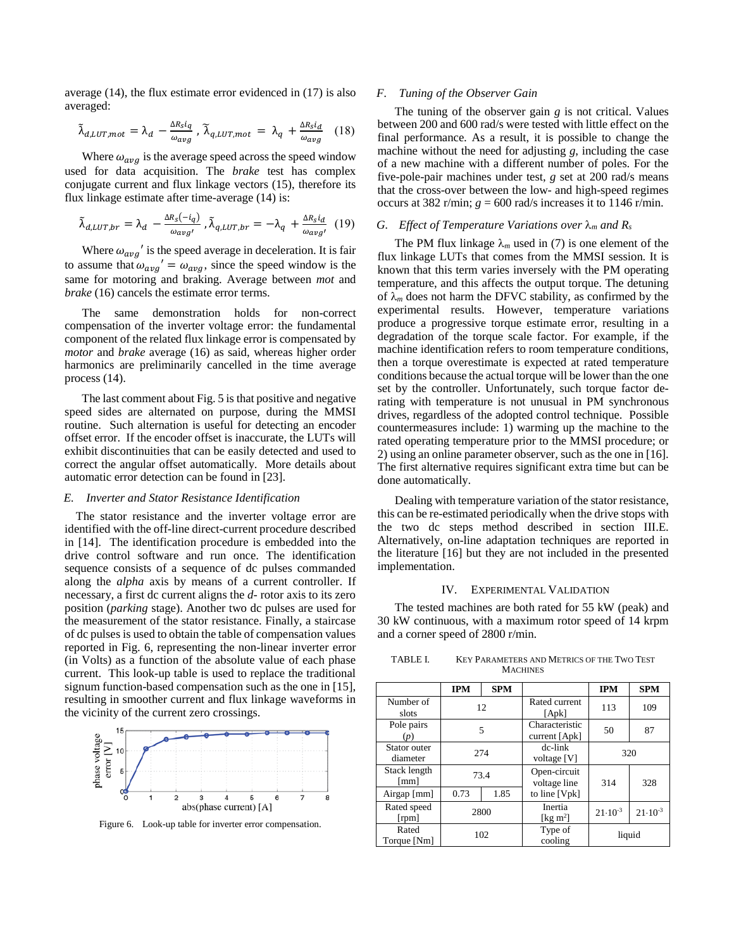average (14), the flux estimate error evidenced in (17) is also averaged:

$$
\tilde{\lambda}_{d, LUT, mot} = \lambda_d - \frac{\Delta R_s i_q}{\omega_{avg}} , \tilde{\lambda}_{q, LUT, mot} = \lambda_q + \frac{\Delta R_s i_d}{\omega_{avg}} \quad (18)
$$

Where  $\omega_{avg}$  is the average speed across the speed window used for data acquisition. The *brake* test has complex conjugate current and flux linkage vectors (15), therefore its flux linkage estimate after time-average (14) is:

$$
\tilde{\lambda}_{d, LUT, br} = \lambda_d - \frac{\Delta R_S(-i_q)}{\omega_{avg'}} , \tilde{\lambda}_{q, LUT, br} = -\lambda_q + \frac{\Delta R_S i_d}{\omega_{avg'}} (19)
$$

Where  $\omega_{avg}$ ' is the speed average in deceleration. It is fair to assume that  $\omega_{avg}$ ' =  $\omega_{avg}$ , since the speed window is the same for motoring and braking. Average between *mot* and *brake* (16) cancels the estimate error terms.

The same demonstration holds for non-correct compensation of the inverter voltage error: the fundamental component of the related flux linkage error is compensated by *motor* and *brake* average (16) as said, whereas higher order harmonics are preliminarily cancelled in the time average process (14).

The last comment about Fig. 5 is that positive and negative speed sides are alternated on purpose, during the MMSI routine. Such alternation is useful for detecting an encoder offset error. If the encoder offset is inaccurate, the LUTs will exhibit discontinuities that can be easily detected and used to correct the angular offset automatically. More details about automatic error detection can be found in [23].

#### *E. Inverter and Stator Resistance Identification*

The stator resistance and the inverter voltage error are identified with the off-line direct-current procedure described in [14]. The identification procedure is embedded into the drive control software and run once. The identification sequence consists of a sequence of dc pulses commanded along the *alpha* axis by means of a current controller. If necessary, a first dc current aligns the *d-* rotor axis to its zero position (*parking* stage). Another two dc pulses are used for the measurement of the stator resistance. Finally, a staircase of dc pulses is used to obtain the table of compensation values reported in Fig. 6, representing the non-linear inverter error (in Volts) as a function of the absolute value of each phase current. This look-up table is used to replace the traditional signum function-based compensation such as the one in [15], resulting in smoother current and flux linkage waveforms in the vicinity of the current zero crossings.



Figure 6. Look-up table for inverter error compensation.

### *F. Tuning of the Observer Gain*

The tuning of the observer gain *g* is not critical. Values between 200 and 600 rad/s were tested with little effect on the final performance. As a result, it is possible to change the machine without the need for adjusting *g*, including the case of a new machine with a different number of poles. For the five-pole-pair machines under test, *g* set at 200 rad/s means that the cross-over between the low- and high-speed regimes occurs at 382 r/min;  $g = 600$  rad/s increases it to 1146 r/min.

# *G. Effect of Temperature Variations over* λ*<sup>m</sup> and Rs*

The PM flux linkage  $\lambda_m$  used in (7) is one element of the flux linkage LUTs that comes from the MMSI session. It is known that this term varies inversely with the PM operating temperature, and this affects the output torque. The detuning of λ*<sup>m</sup>* does not harm the DFVC stability, as confirmed by the experimental results. However, temperature variations produce a progressive torque estimate error, resulting in a degradation of the torque scale factor. For example, if the machine identification refers to room temperature conditions, then a torque overestimate is expected at rated temperature conditions because the actual torque will be lower than the one set by the controller. Unfortunately, such torque factor derating with temperature is not unusual in PM synchronous drives, regardless of the adopted control technique. Possible countermeasures include: 1) warming up the machine to the rated operating temperature prior to the MMSI procedure; or 2) using an online parameter observer, such as the one in [16]. The first alternative requires significant extra time but can be done automatically.

Dealing with temperature variation of the stator resistance, this can be re-estimated periodically when the drive stops with the two dc steps method described in section III.E. Alternatively, on-line adaptation techniques are reported in the literature [16] but they are not included in the presented implementation.

#### IV. EXPERIMENTAL VALIDATION

The tested machines are both rated for 55 kW (peak) and 30 kW continuous, with a maximum rotor speed of 14 krpm and a corner speed of 2800 r/min.

TABLE I. KEY PARAMETERS AND METRICS OF THE TWO TEST **MACHINES** 

|                               | <b>IPM</b> | <b>SPM</b> |                                 | <b>IPM</b>         | <b>SPM</b>         |
|-------------------------------|------------|------------|---------------------------------|--------------------|--------------------|
| Number of<br>slots            | 12         |            | Rated current<br>[Apk]          | 113                | 109                |
| Pole pairs<br>(p)             | 5          |            | Characteristic<br>current [Apk] | 50                 | 87                 |
| Stator outer<br>diameter      | 274        |            | $dc$ -link<br>voltage [V]       | 320                |                    |
| Stack length<br>[mm]          | 73.4       |            | Open-circuit<br>voltage line    | 314                | 328                |
| Airgap [mm]                   | 0.73       | 1.85       | to line [Vpk]                   |                    |                    |
| Rated speed<br>[ <i>rpm</i> ] | 2800       |            | Inertia<br>[ $kg \, m^2$ ]      | $21 \cdot 10^{-3}$ | $21 \cdot 10^{-3}$ |
| Rated<br>Torque [Nm]          | 102        |            | Type of<br>cooling              | liquid             |                    |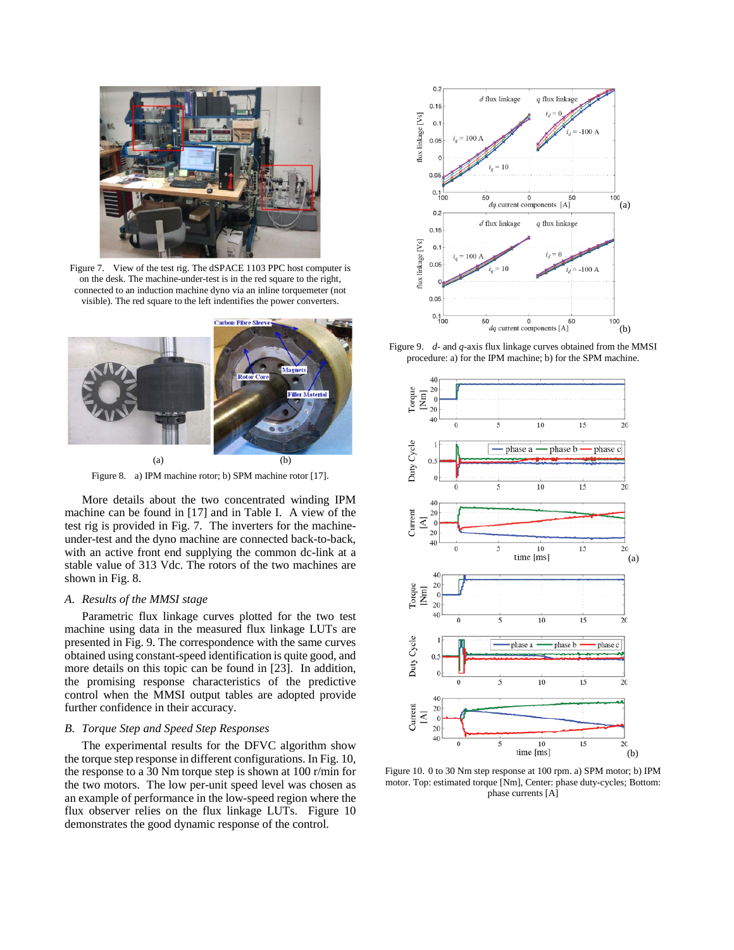

Figure 7. View of the test rig. The dSPACE 1103 PPC host computer is on the desk. The machine-under-test is in the red square to the right, connected to an induction machine dyno via an inline torquemeter (not visible). The red square to the left indentifies the power converters.



Figure 8. a) IPM machine rotor; b) SPM machine rotor [17].

More details about the two concentrated winding IPM machine can be found in [17] and in Table I. A view of the test rig is provided in Fig. 7. The inverters for the machineunder-test and the dyno machine are connected back-to-back, with an active front end supplying the common dc-link at a stable value of 313 Vdc. The rotors of the two machines are shown in Fig. 8.

# *A. Results of the MMSI stage*

Parametric flux linkage curves plotted for the two test machine using data in the measured flux linkage LUTs are presented in Fig. 9. The correspondence with the same curves obtained using constant-speed identification is quite good, and more details on this topic can be found in [23]. In addition, the promising response characteristics of the predictive control when the MMSI output tables are adopted provide further confidence in their accuracy.

# *B. Torque Step and Speed Step Responses*

The experimental results for the DFVC algorithm show the torque step response in different configurations. In Fig. 10, the response to a 30 Nm torque step is shown at 100 r/min for the two motors. The low per-unit speed level was chosen as an example of performance in the low-speed region where the flux observer relies on the flux linkage LUTs. Figure 10 demonstrates the good dynamic response of the control.



Figure 9. *d-* and *q-*axis flux linkage curves obtained from the MMSI procedure: a) for the IPM machine; b) for the SPM machine.



Figure 10. 0 to 30 Nm step response at 100 rpm. a) SPM motor; b) IPM motor. Top: estimated torque [Nm], Center: phase duty-cycles; Bottom: phase currents [A]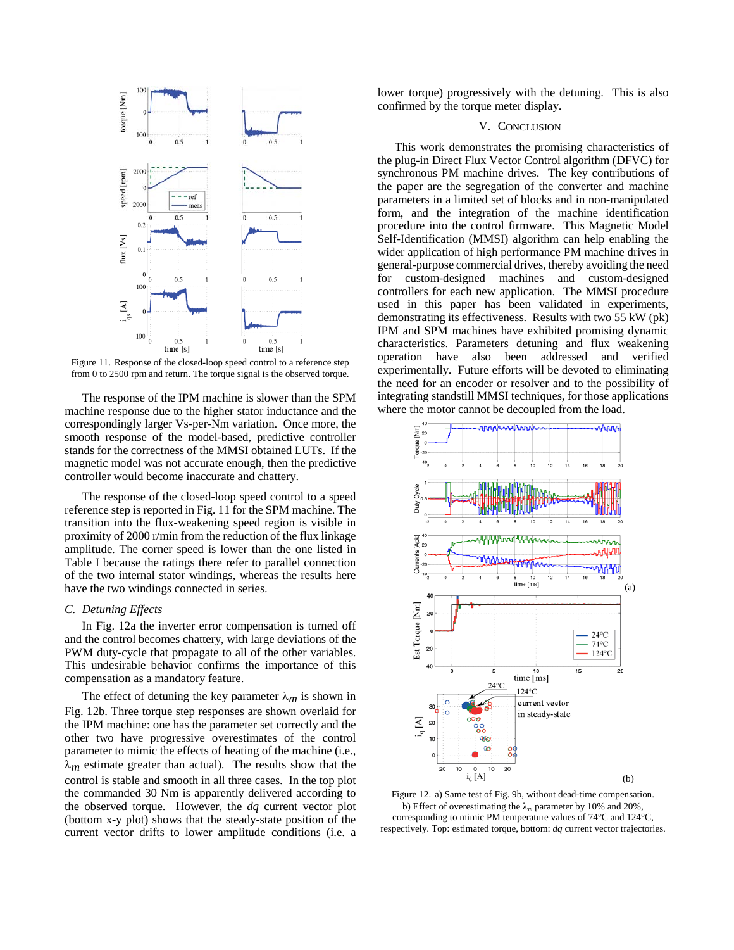

Figure 11. Response of the closed-loop speed control to a reference step from 0 to 2500 rpm and return. The torque signal is the observed torque.

The response of the IPM machine is slower than the SPM machine response due to the higher stator inductance and the correspondingly larger Vs-per-Nm variation. Once more, the smooth response of the model-based, predictive controller stands for the correctness of the MMSI obtained LUTs. If the magnetic model was not accurate enough, then the predictive controller would become inaccurate and chattery.

The response of the closed-loop speed control to a speed reference step is reported in Fig. 11 for the SPM machine. The transition into the flux-weakening speed region is visible in proximity of 2000 r/min from the reduction of the flux linkage amplitude. The corner speed is lower than the one listed in Table I because the ratings there refer to parallel connection of the two internal stator windings, whereas the results here have the two windings connected in series.

#### *C. Detuning Effects*

In Fig. 12a the inverter error compensation is turned off and the control becomes chattery, with large deviations of the PWM duty-cycle that propagate to all of the other variables. This undesirable behavior confirms the importance of this compensation as a mandatory feature.

The effect of detuning the key parameter  $\lambda_m$  is shown in Fig. 12b. Three torque step responses are shown overlaid for the IPM machine: one has the parameter set correctly and the other two have progressive overestimates of the control parameter to mimic the effects of heating of the machine (i.e.,  $\lambda_m$  estimate greater than actual). The results show that the control is stable and smooth in all three cases. In the top plot the commanded 30 Nm is apparently delivered according to the observed torque. However, the *dq* current vector plot (bottom x-y plot) shows that the steady-state position of the current vector drifts to lower amplitude conditions (i.e. a lower torque) progressively with the detuning. This is also confirmed by the torque meter display.

# V. CONCLUSION

This work demonstrates the promising characteristics of the plug-in Direct Flux Vector Control algorithm (DFVC) for synchronous PM machine drives. The key contributions of the paper are the segregation of the converter and machine parameters in a limited set of blocks and in non-manipulated form, and the integration of the machine identification procedure into the control firmware. This Magnetic Model Self-Identification (MMSI) algorithm can help enabling the wider application of high performance PM machine drives in general-purpose commercial drives, thereby avoiding the need for custom-designed machines and custom-designed controllers for each new application. The MMSI procedure used in this paper has been validated in experiments, demonstrating its effectiveness. Results with two 55 kW (pk) IPM and SPM machines have exhibited promising dynamic characteristics. Parameters detuning and flux weakening operation have also been addressed and verified experimentally. Future efforts will be devoted to eliminating the need for an encoder or resolver and to the possibility of integrating standstill MMSI techniques, for those applications where the motor cannot be decoupled from the load.



Figure 12. a) Same test of Fig. 9b, without dead-time compensation. b) Effect of overestimating the λ*<sup>m</sup>* parameter by 10% and 20%, corresponding to mimic PM temperature values of 74°C and 124°C, respectively. Top: estimated torque, bottom: *dq* current vector trajectories.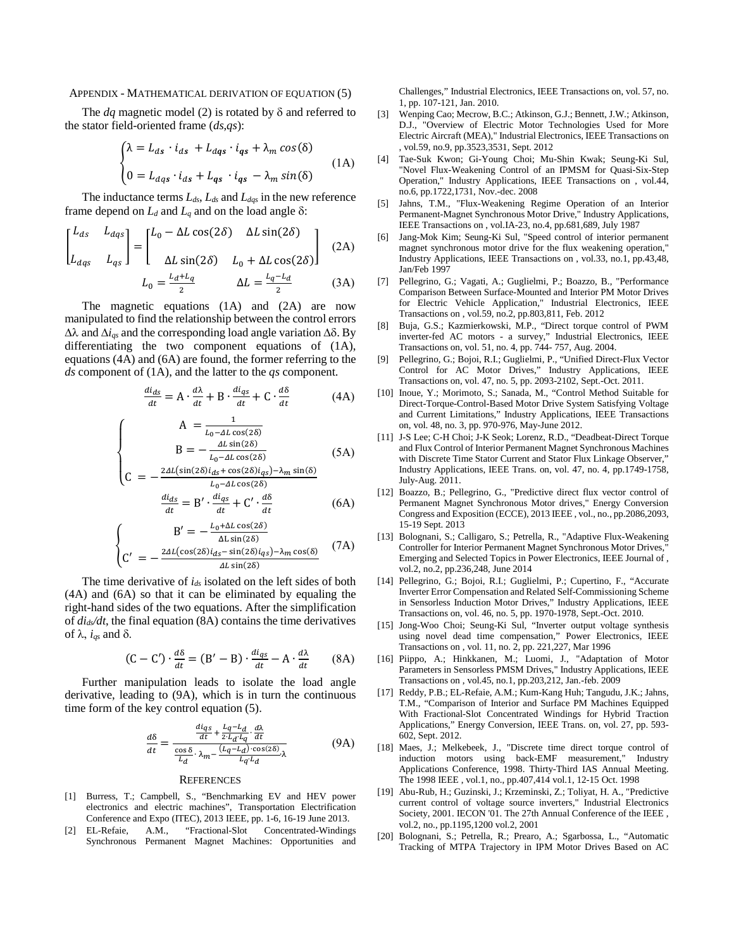#### APPENDIX - MATHEMATICAL DERIVATION OF EQUATION (5)

The *dq* magnetic model (2) is rotated by δ and referred to the stator field-oriented frame (*ds*,*qs*):

$$
\begin{cases} \lambda = L_{ds} \cdot i_{ds} + L_{dqs} \cdot i_{qs} + \lambda_m \cos(\delta) \\ 0 = L_{dqs} \cdot i_{ds} + L_{qs} \cdot i_{qs} - \lambda_m \sin(\delta) \end{cases}
$$
 (1A)

The inductance terms  $L_{ds}$ ,  $L_{ds}$  and  $L_{dqs}$  in the new reference frame depend on  $L_d$  and  $L_q$  and on the load angle δ:

$$
\begin{bmatrix} L_{ds} & L_{dqs} \\ L_{dqs} & L_{qs} \end{bmatrix} = \begin{bmatrix} L_0 - \Delta L \cos(2\delta) & \Delta L \sin(2\delta) \\ \Delta L \sin(2\delta) & L_0 + \Delta L \cos(2\delta) \end{bmatrix}
$$
 (2A)  

$$
L_0 = \frac{L_d + L_q}{2} \qquad \Delta L = \frac{L_q - L_d}{2}
$$
 (3A)

The magnetic equations (1A) and (2A) are now manipulated to find the relationship between the control errors ∆λ and ∆*iqs* and the corresponding load angle variation ∆δ. By differentiating the two component equations of (1A), equations (4A) and (6A) are found, the former referring to the *ds* component of (1A), and the latter to the *qs* component.

$$
\frac{di_{ds}}{dt} = A \cdot \frac{d\lambda}{dt} + B \cdot \frac{di_{qs}}{dt} + C \cdot \frac{d\delta}{dt}
$$
 (4A)

$$
\begin{cases}\nA = \frac{1}{L_0 - \Delta L \cos(2\delta)} \\
B = -\frac{\Delta L \sin(2\delta)}{L_0 - \Delta L \cos(2\delta)} \\
C = -\frac{2\Delta L (\sin(2\delta) i_{ds} + \cos(2\delta) i_{qs}) - \lambda_m \sin(\delta)}{2\Delta L} \n\end{cases} (5A)
$$

$$
C = -\frac{2\Delta L(\sin(2\delta)i_{ds} + \cos(2\delta)i_{qs}) - \lambda_m \sin(\delta)}{L_0 - \Delta L \cos(2\delta)}
$$

$$
\frac{di_{ds}}{dt} = B' \cdot \frac{di_{qs}}{dt} + C' \cdot \frac{d\delta}{dt}
$$
(6A)

$$
B' = -\frac{L_0 + \Delta L \cos(2\delta)}{\Delta L \sin(2\delta)}
$$
  
\n
$$
C' = -\frac{2\Delta L (\cos(2\delta) i_{ds} - \sin(2\delta) i_{qs}) - \lambda_m \cos(\delta)}{\Delta L \sin(2\delta)}
$$
 (7A)

The time derivative of *ids* isolated on the left sides of both (4A) and (6A) so that it can be eliminated by equaling the right-hand sides of the two equations. After the simplification of *dids/dt*, the final equation (8A) contains the time derivatives of λ, *iqs* and δ.

 $\overline{\phantom{a}}$ 

 $\big\{$ 

$$
(C - C') \cdot \frac{d\delta}{dt} = (B' - B) \cdot \frac{di_{qs}}{dt} - A \cdot \frac{d\lambda}{dt} \qquad (8A)
$$

Further manipulation leads to isolate the load angle derivative, leading to (9A), which is in turn the continuous time form of the key control equation (5).

$$
\frac{d\delta}{dt} = \frac{\frac{di_{qs}}{dt} + \frac{L_q - L_d}{2 \cdot L_d \cdot L_q} \cdot \frac{d\lambda}{dt}}{\frac{\cos \delta}{L_d} \cdot \lambda_m - \frac{(L_q - L_d) \cdot \cos(2\delta)}{L_q \cdot L_d} \lambda} \tag{9A}
$$

#### **REFERENCES**

- [1] Burress, T.; Campbell, S., "Benchmarking EV and HEV power electronics and electric machines", Transportation Electrification Conference and Expo (ITEC), 2013 IEEE, pp. 1-6, 16-19 June 2013.
- [2] EL-Refaie, A.M., "Fractional-Slot Concentrated-Windings Synchronous Permanent Magnet Machines: Opportunities and

Challenges," Industrial Electronics, IEEE Transactions on, vol. 57, no. 1, pp. 107-121, Jan. 2010.

- [3] Wenping Cao; Mecrow, B.C.; Atkinson, G.J.; Bennett, J.W.; Atkinson, D.J., "Overview of Electric Motor Technologies Used for More Electric Aircraft (MEA)," Industrial Electronics, IEEE Transactions on , vol.59, no.9, pp.3523,3531, Sept. 2012
- [4] Tae-Suk Kwon; Gi-Young Choi; Mu-Shin Kwak; Seung-Ki Sul, "Novel Flux-Weakening Control of an IPMSM for Quasi-Six-Step Operation," Industry Applications, IEEE Transactions on , vol.44, no.6, pp.1722,1731, Nov.-dec. 2008
- [5] Jahns, T.M., "Flux-Weakening Regime Operation of an Interior Permanent-Magnet Synchronous Motor Drive," Industry Applications, IEEE Transactions on , vol.IA-23, no.4, pp.681,689, July 1987
- [6] Jang-Mok Kim; Seung-Ki Sul, "Speed control of interior permanent magnet synchronous motor drive for the flux weakening operation," Industry Applications, IEEE Transactions on , vol.33, no.1, pp.43,48, Jan/Feb 1997
- [7] Pellegrino, G.; Vagati, A.; Guglielmi, P.; Boazzo, B., "Performance Comparison Between Surface-Mounted and Interior PM Motor Drives for Electric Vehicle Application," Industrial Electronics, IEEE Transactions on , vol.59, no.2, pp.803,811, Feb. 2012
- [8] Buja, G.S.; Kazmierkowski, M.P., "Direct torque control of PWM inverter-fed AC motors - a survey," Industrial Electronics, IEEE Transactions on, vol. 51, no. 4, pp. 744- 757, Aug. 2004.
- [9] Pellegrino, G.; Bojoi, R.I.; Guglielmi, P., "Unified Direct-Flux Vector Control for AC Motor Drives," Industry Applications, IEEE Transactions on, vol. 47, no. 5, pp. 2093-2102, Sept.-Oct. 2011.
- [10] Inoue, Y.; Morimoto, S.; Sanada, M., "Control Method Suitable for Direct-Torque-Control-Based Motor Drive System Satisfying Voltage and Current Limitations," Industry Applications, IEEE Transactions on, vol. 48, no. 3, pp. 970-976, May-June 2012.
- [11] J-S Lee; C-H Choi; J-K Seok; Lorenz, R.D., "Deadbeat-Direct Torque and Flux Control of Interior Permanent Magnet Synchronous Machines with Discrete Time Stator Current and Stator Flux Linkage Observer," Industry Applications, IEEE Trans. on, vol. 47, no. 4, pp.1749-1758, July-Aug. 2011.
- [12] Boazzo, B.; Pellegrino, G., "Predictive direct flux vector control of Permanent Magnet Synchronous Motor drives," Energy Conversion Congress and Exposition (ECCE), 2013 IEEE , vol., no., pp.2086,2093, 15-19 Sept. 2013
- [13] Bolognani, S.; Calligaro, S.; Petrella, R., "Adaptive Flux-Weakening Controller for Interior Permanent Magnet Synchronous Motor Drives," Emerging and Selected Topics in Power Electronics, IEEE Journal of , vol.2, no.2, pp.236,248, June 2014
- [14] Pellegrino, G.; Bojoi, R.I.; Guglielmi, P.; Cupertino, F., "Accurate Inverter Error Compensation and Related Self-Commissioning Scheme in Sensorless Induction Motor Drives," Industry Applications, IEEE Transactions on, vol. 46, no. 5, pp. 1970-1978, Sept.-Oct. 2010.
- [15] Jong-Woo Choi; Seung-Ki Sul, "Inverter output voltage synthesis using novel dead time compensation," Power Electronics, IEEE Transactions on , vol. 11, no. 2, pp. 221,227, Mar 1996
- [16] Piippo, A.; Hinkkanen, M.; Luomi, J., "Adaptation of Motor Parameters in Sensorless PMSM Drives," Industry Applications, IEEE Transactions on , vol.45, no.1, pp.203,212, Jan.-feb. 2009
- [17] Reddy, P.B.; EL-Refaie, A.M.; Kum-Kang Huh; Tangudu, J.K.; Jahns, T.M., "Comparison of Interior and Surface PM Machines Equipped With Fractional-Slot Concentrated Windings for Hybrid Traction Applications," Energy Conversion, IEEE Trans. on, vol. 27, pp. 593- 602, Sept. 2012.
- [18] Maes, J.; Melkebeek, J., "Discrete time direct torque control of induction motors using back-EMF measurement," Industry Applications Conference, 1998. Thirty-Third IAS Annual Meeting. The 1998 IEEE , vol.1, no., pp.407,414 vol.1, 12-15 Oct. 1998
- [19] Abu-Rub, H.; Guzinski, J.; Krzeminski, Z.; Toliyat, H. A., "Predictive current control of voltage source inverters," Industrial Electronics Society, 2001. IECON '01. The 27th Annual Conference of the IEEE , vol.2, no., pp.1195,1200 vol.2, 2001
- [20] Bolognani, S.; Petrella, R.; Prearo, A.; Sgarbossa, L., "Automatic Tracking of MTPA Trajectory in IPM Motor Drives Based on AC